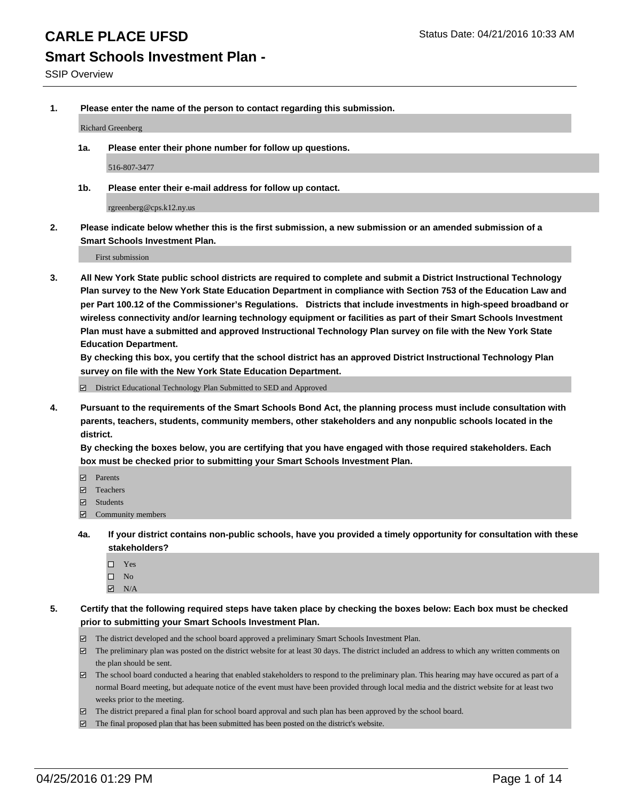# **Smart Schools Investment Plan -**

**1. Please enter the name of the person to contact regarding this submission.**

Richard Greenberg

**1a. Please enter their phone number for follow up questions.**

516-807-3477

**1b. Please enter their e-mail address for follow up contact.**

rgreenberg@cps.k12.ny.us

**2. Please indicate below whether this is the first submission, a new submission or an amended submission of a Smart Schools Investment Plan.**

First submission

**3. All New York State public school districts are required to complete and submit a District Instructional Technology Plan survey to the New York State Education Department in compliance with Section 753 of the Education Law and per Part 100.12 of the Commissioner's Regulations. Districts that include investments in high-speed broadband or wireless connectivity and/or learning technology equipment or facilities as part of their Smart Schools Investment Plan must have a submitted and approved Instructional Technology Plan survey on file with the New York State Education Department.** 

**By checking this box, you certify that the school district has an approved District Instructional Technology Plan survey on file with the New York State Education Department.**

■ District Educational Technology Plan Submitted to SED and Approved

**4. Pursuant to the requirements of the Smart Schools Bond Act, the planning process must include consultation with parents, teachers, students, community members, other stakeholders and any nonpublic schools located in the district.** 

**By checking the boxes below, you are certifying that you have engaged with those required stakeholders. Each box must be checked prior to submitting your Smart Schools Investment Plan.**

- **Parents**
- □ Teachers
- Students
- $\boxdot$  Community members
- **4a. If your district contains non-public schools, have you provided a timely opportunity for consultation with these stakeholders?**
	- □ Yes
	- $\square$  No
	- $\boxtimes$  N/A
- **5. Certify that the following required steps have taken place by checking the boxes below: Each box must be checked prior to submitting your Smart Schools Investment Plan.**
	- The district developed and the school board approved a preliminary Smart Schools Investment Plan.
	- The preliminary plan was posted on the district website for at least 30 days. The district included an address to which any written comments on the plan should be sent.
	- $\Box$  The school board conducted a hearing that enabled stakeholders to respond to the preliminary plan. This hearing may have occured as part of a normal Board meeting, but adequate notice of the event must have been provided through local media and the district website for at least two weeks prior to the meeting.
	- The district prepared a final plan for school board approval and such plan has been approved by the school board.
	- The final proposed plan that has been submitted has been posted on the district's website.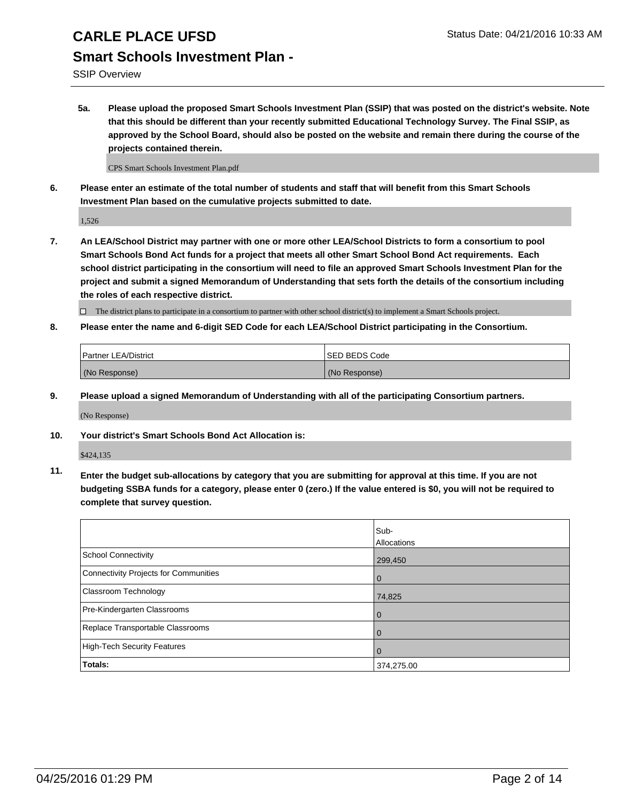SSIP Overview

**5a. Please upload the proposed Smart Schools Investment Plan (SSIP) that was posted on the district's website. Note that this should be different than your recently submitted Educational Technology Survey. The Final SSIP, as approved by the School Board, should also be posted on the website and remain there during the course of the projects contained therein.**

CPS Smart Schools Investment Plan.pdf

**6. Please enter an estimate of the total number of students and staff that will benefit from this Smart Schools Investment Plan based on the cumulative projects submitted to date.**

1,526

**7. An LEA/School District may partner with one or more other LEA/School Districts to form a consortium to pool Smart Schools Bond Act funds for a project that meets all other Smart School Bond Act requirements. Each school district participating in the consortium will need to file an approved Smart Schools Investment Plan for the project and submit a signed Memorandum of Understanding that sets forth the details of the consortium including the roles of each respective district.**

 $\Box$  The district plans to participate in a consortium to partner with other school district(s) to implement a Smart Schools project.

**8. Please enter the name and 6-digit SED Code for each LEA/School District participating in the Consortium.**

| Partner LEA/District | <b>ISED BEDS Code</b> |
|----------------------|-----------------------|
| (No Response)        | (No Response)         |

**9. Please upload a signed Memorandum of Understanding with all of the participating Consortium partners.**

(No Response)

**10. Your district's Smart Schools Bond Act Allocation is:**

\$424,135

**11. Enter the budget sub-allocations by category that you are submitting for approval at this time. If you are not budgeting SSBA funds for a category, please enter 0 (zero.) If the value entered is \$0, you will not be required to complete that survey question.**

|                                       | Sub-<br>Allocations |
|---------------------------------------|---------------------|
| <b>School Connectivity</b>            | 299,450             |
| Connectivity Projects for Communities | $\Omega$            |
| Classroom Technology                  | 74,825              |
| Pre-Kindergarten Classrooms           | $\Omega$            |
| Replace Transportable Classrooms      | $\Omega$            |
| High-Tech Security Features           | $\Omega$            |
| Totals:                               | 374,275.00          |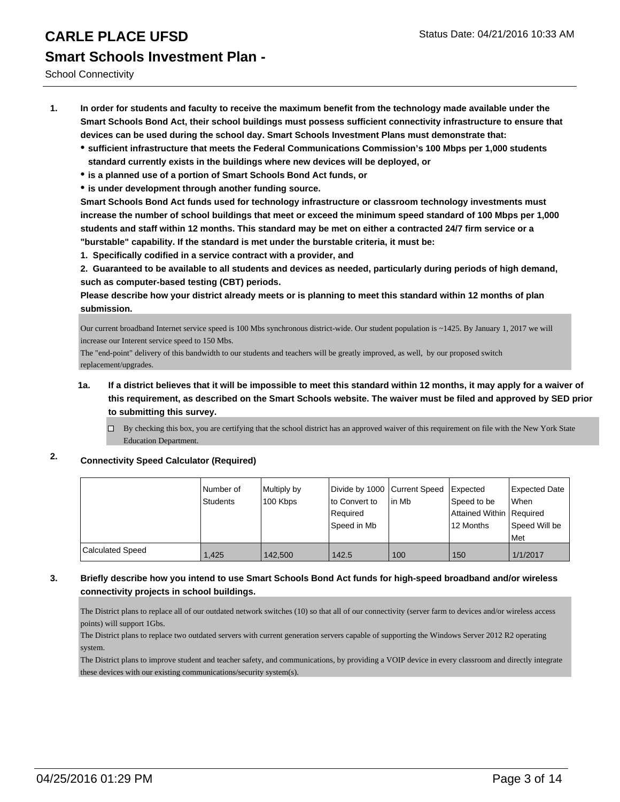School Connectivity

- **1. In order for students and faculty to receive the maximum benefit from the technology made available under the Smart Schools Bond Act, their school buildings must possess sufficient connectivity infrastructure to ensure that devices can be used during the school day. Smart Schools Investment Plans must demonstrate that:**
	- **sufficient infrastructure that meets the Federal Communications Commission's 100 Mbps per 1,000 students standard currently exists in the buildings where new devices will be deployed, or**
	- **is a planned use of a portion of Smart Schools Bond Act funds, or**
	- **is under development through another funding source.**

**Smart Schools Bond Act funds used for technology infrastructure or classroom technology investments must increase the number of school buildings that meet or exceed the minimum speed standard of 100 Mbps per 1,000 students and staff within 12 months. This standard may be met on either a contracted 24/7 firm service or a "burstable" capability. If the standard is met under the burstable criteria, it must be:**

**1. Specifically codified in a service contract with a provider, and**

**2. Guaranteed to be available to all students and devices as needed, particularly during periods of high demand, such as computer-based testing (CBT) periods.**

**Please describe how your district already meets or is planning to meet this standard within 12 months of plan submission.**

Our current broadband Internet service speed is 100 Mbs synchronous district-wide. Our student population is ~1425. By January 1, 2017 we will increase our Interent service speed to 150 Mbs.

The "end-point" delivery of this bandwidth to our students and teachers will be greatly improved, as well, by our proposed switch replacement/upgrades.

#### **1a. If a district believes that it will be impossible to meet this standard within 12 months, it may apply for a waiver of this requirement, as described on the Smart Schools website. The waiver must be filed and approved by SED prior to submitting this survey.**

By checking this box, you are certifying that the school district has an approved waiver of this requirement on file with the New York State Education Department.

### **2. Connectivity Speed Calculator (Required)**

|                  | Number of<br>Students | Multiply by<br>100 Kbps | Divide by 1000 Current Speed<br>lto Convert to<br>l Reauired<br>l Speed in Mb | lin Mb | <b>Expected</b><br>Speed to be<br>Attained Within Required<br>12 Months | Expected Date<br>When<br>Speed Will be<br>Met |
|------------------|-----------------------|-------------------------|-------------------------------------------------------------------------------|--------|-------------------------------------------------------------------------|-----------------------------------------------|
| Calculated Speed | 1.425                 | 142,500                 | 142.5                                                                         | 100    | 150                                                                     | 1/1/2017                                      |

#### **3. Briefly describe how you intend to use Smart Schools Bond Act funds for high-speed broadband and/or wireless connectivity projects in school buildings.**

The District plans to replace all of our outdated network switches (10) so that all of our connectivity (server farm to devices and/or wireless access points) will support 1Gbs.

The District plans to replace two outdated servers with current generation servers capable of supporting the Windows Server 2012 R2 operating system.

The District plans to improve student and teacher safety, and communications, by providing a VOIP device in every classroom and directly integrate these devices with our existing communications/security system(s).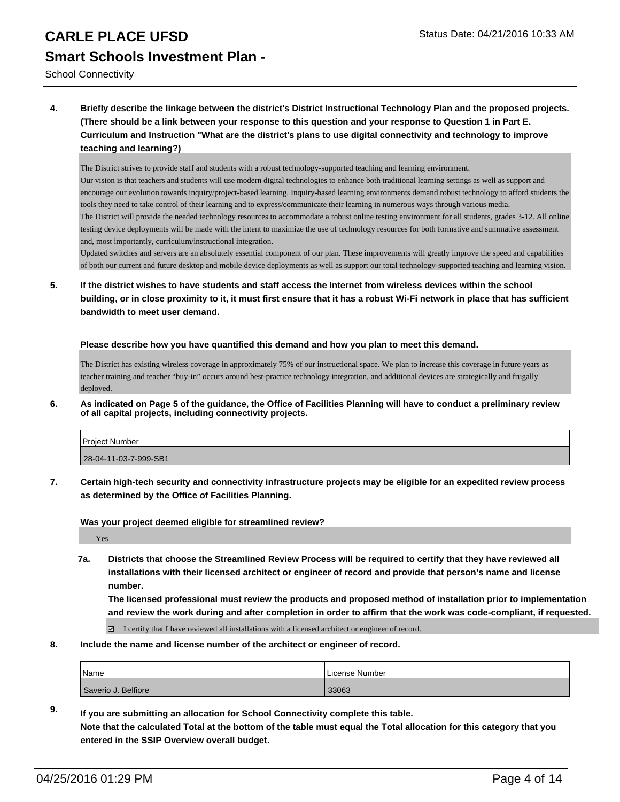School Connectivity

**4. Briefly describe the linkage between the district's District Instructional Technology Plan and the proposed projects. (There should be a link between your response to this question and your response to Question 1 in Part E. Curriculum and Instruction "What are the district's plans to use digital connectivity and technology to improve teaching and learning?)**

The District strives to provide staff and students with a robust technology-supported teaching and learning environment. Our vision is that teachers and students will use modern digital technologies to enhance both traditional learning settings as well as support and encourage our evolution towards inquiry/project-based learning. Inquiry-based learning environments demand robust technology to afford students the tools they need to take control of their learning and to express/communicate their learning in numerous ways through various media. The District will provide the needed technology resources to accommodate a robust online testing environment for all students, grades 3-12. All online testing device deployments will be made with the intent to maximize the use of technology resources for both formative and summative assessment and, most importantly, curriculum/instructional integration.

Updated switches and servers are an absolutely essential component of our plan. These improvements will greatly improve the speed and capabilities of both our current and future desktop and mobile device deployments as well as support our total technology-supported teaching and learning vision.

**5. If the district wishes to have students and staff access the Internet from wireless devices within the school building, or in close proximity to it, it must first ensure that it has a robust Wi-Fi network in place that has sufficient bandwidth to meet user demand.**

#### **Please describe how you have quantified this demand and how you plan to meet this demand.**

The District has existing wireless coverage in approximately 75% of our instructional space. We plan to increase this coverage in future years as teacher training and teacher "buy-in" occurs around best-practice technology integration, and additional devices are strategically and frugally deployed.

**6. As indicated on Page 5 of the guidance, the Office of Facilities Planning will have to conduct a preliminary review of all capital projects, including connectivity projects.**

| Project Number        |  |
|-----------------------|--|
| 28-04-11-03-7-999-SB1 |  |

**7. Certain high-tech security and connectivity infrastructure projects may be eligible for an expedited review process as determined by the Office of Facilities Planning.**

**Was your project deemed eligible for streamlined review?**

Yes

**7a. Districts that choose the Streamlined Review Process will be required to certify that they have reviewed all installations with their licensed architect or engineer of record and provide that person's name and license number.**

**The licensed professional must review the products and proposed method of installation prior to implementation and review the work during and after completion in order to affirm that the work was code-compliant, if requested.**

 $\boxdot$  I certify that I have reviewed all installations with a licensed architect or engineer of record.

**8. Include the name and license number of the architect or engineer of record.**

| <i>Name</i>         | License Number |
|---------------------|----------------|
| Saverio J. Belfiore | 33063          |

**9. If you are submitting an allocation for School Connectivity complete this table. Note that the calculated Total at the bottom of the table must equal the Total allocation for this category that you entered in the SSIP Overview overall budget.**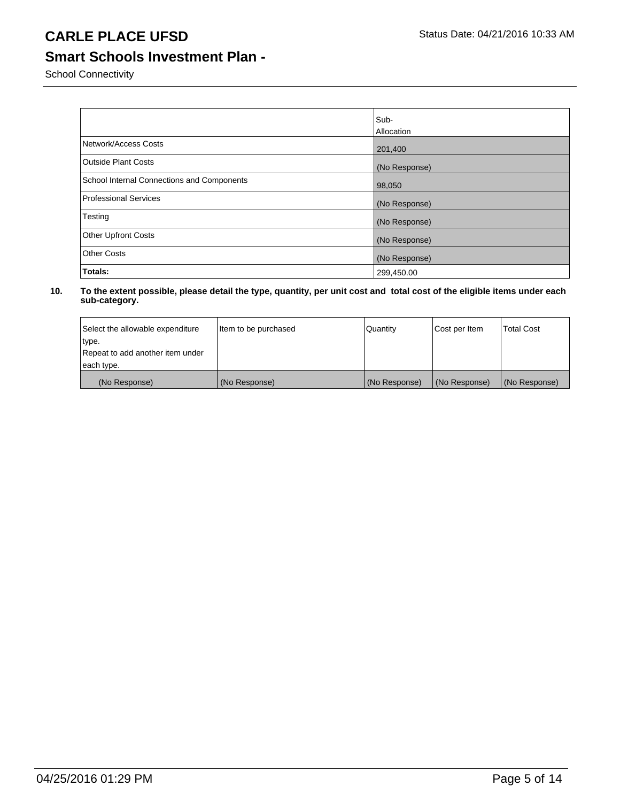## **Smart Schools Investment Plan -**

School Connectivity

|                                            | Sub-<br>Allocation |
|--------------------------------------------|--------------------|
| Network/Access Costs                       | 201,400            |
| <b>Outside Plant Costs</b>                 | (No Response)      |
| School Internal Connections and Components | 98,050             |
| Professional Services                      | (No Response)      |
| Testing                                    | (No Response)      |
| <b>Other Upfront Costs</b>                 | (No Response)      |
| <b>Other Costs</b>                         | (No Response)      |
| Totals:                                    | 299,450.00         |

| Select the allowable expenditure | Item to be purchased | Quantity      | Cost per Item | <b>Total Cost</b> |
|----------------------------------|----------------------|---------------|---------------|-------------------|
| type.                            |                      |               |               |                   |
| Repeat to add another item under |                      |               |               |                   |
| each type.                       |                      |               |               |                   |
| (No Response)                    | (No Response)        | (No Response) | (No Response) | (No Response)     |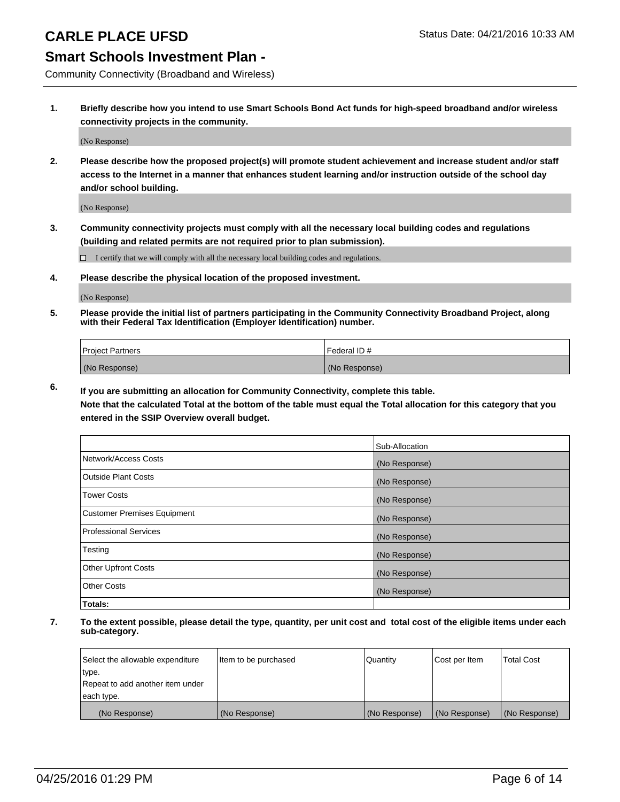### **Smart Schools Investment Plan -**

Community Connectivity (Broadband and Wireless)

**1. Briefly describe how you intend to use Smart Schools Bond Act funds for high-speed broadband and/or wireless connectivity projects in the community.**

(No Response)

**2. Please describe how the proposed project(s) will promote student achievement and increase student and/or staff access to the Internet in a manner that enhances student learning and/or instruction outside of the school day and/or school building.**

(No Response)

**3. Community connectivity projects must comply with all the necessary local building codes and regulations (building and related permits are not required prior to plan submission).**

 $\Box$  I certify that we will comply with all the necessary local building codes and regulations.

**4. Please describe the physical location of the proposed investment.**

(No Response)

**5. Please provide the initial list of partners participating in the Community Connectivity Broadband Project, along with their Federal Tax Identification (Employer Identification) number.**

| <b>Project Partners</b> | <b>IFederal ID#</b> |
|-------------------------|---------------------|
| (No Response)           | (No Response)       |

**6. If you are submitting an allocation for Community Connectivity, complete this table.**

**Note that the calculated Total at the bottom of the table must equal the Total allocation for this category that you entered in the SSIP Overview overall budget.**

|                                    | Sub-Allocation |
|------------------------------------|----------------|
| Network/Access Costs               | (No Response)  |
| Outside Plant Costs                | (No Response)  |
| <b>Tower Costs</b>                 | (No Response)  |
| <b>Customer Premises Equipment</b> | (No Response)  |
| Professional Services              | (No Response)  |
| Testing                            | (No Response)  |
| <b>Other Upfront Costs</b>         | (No Response)  |
| Other Costs                        | (No Response)  |
| Totals:                            |                |

| Select the allowable expenditure | litem to be purchased | Quantity      | Cost per Item | <b>Total Cost</b> |
|----------------------------------|-----------------------|---------------|---------------|-------------------|
| type.                            |                       |               |               |                   |
| Repeat to add another item under |                       |               |               |                   |
| each type.                       |                       |               |               |                   |
| (No Response)                    | (No Response)         | (No Response) | (No Response) | (No Response)     |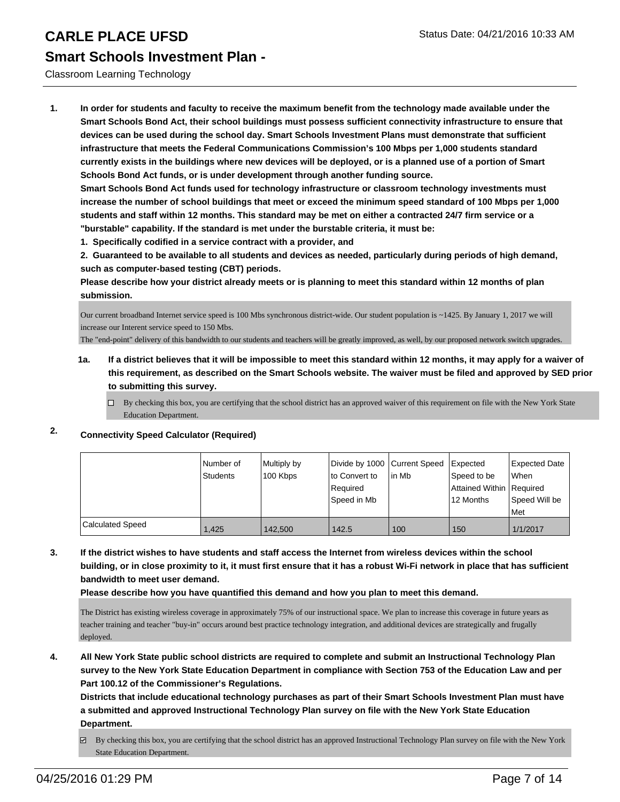#### Classroom Learning Technology

**1. In order for students and faculty to receive the maximum benefit from the technology made available under the Smart Schools Bond Act, their school buildings must possess sufficient connectivity infrastructure to ensure that devices can be used during the school day. Smart Schools Investment Plans must demonstrate that sufficient infrastructure that meets the Federal Communications Commission's 100 Mbps per 1,000 students standard currently exists in the buildings where new devices will be deployed, or is a planned use of a portion of Smart Schools Bond Act funds, or is under development through another funding source.**

**Smart Schools Bond Act funds used for technology infrastructure or classroom technology investments must increase the number of school buildings that meet or exceed the minimum speed standard of 100 Mbps per 1,000 students and staff within 12 months. This standard may be met on either a contracted 24/7 firm service or a "burstable" capability. If the standard is met under the burstable criteria, it must be:**

**1. Specifically codified in a service contract with a provider, and**

**2. Guaranteed to be available to all students and devices as needed, particularly during periods of high demand, such as computer-based testing (CBT) periods.**

**Please describe how your district already meets or is planning to meet this standard within 12 months of plan submission.**

Our current broadband Internet service speed is 100 Mbs synchronous district-wide. Our student population is ~1425. By January 1, 2017 we will increase our Interent service speed to 150 Mbs.

The "end-point" delivery of this bandwidth to our students and teachers will be greatly improved, as well, by our proposed network switch upgrades.

- **1a. If a district believes that it will be impossible to meet this standard within 12 months, it may apply for a waiver of this requirement, as described on the Smart Schools website. The waiver must be filed and approved by SED prior to submitting this survey.**
	- □ By checking this box, you are certifying that the school district has an approved waiver of this requirement on file with the New York State Education Department.

### **2. Connectivity Speed Calculator (Required)**

|                         | l Number of<br>Students | Multiply by<br>100 Kbps | Divide by 1000 Current Speed<br>to Convert to<br>Required<br>lSpeed in Mb | lin Mb | Expected<br>Speed to be<br>Attained Within   Required<br>12 Months | Expected Date<br><b>When</b><br>Speed Will be<br><b>IMet</b> |
|-------------------------|-------------------------|-------------------------|---------------------------------------------------------------------------|--------|--------------------------------------------------------------------|--------------------------------------------------------------|
| <b>Calculated Speed</b> | 1.425                   | 142,500                 | 142.5                                                                     | 100    | 150                                                                | 1/1/2017                                                     |

**3. If the district wishes to have students and staff access the Internet from wireless devices within the school building, or in close proximity to it, it must first ensure that it has a robust Wi-Fi network in place that has sufficient bandwidth to meet user demand.**

**Please describe how you have quantified this demand and how you plan to meet this demand.**

The District has existing wireless coverage in approximately 75% of our instructional space. We plan to increase this coverage in future years as teacher training and teacher "buy-in" occurs around best practice technology integration, and additional devices are strategically and frugally deployed.

**4. All New York State public school districts are required to complete and submit an Instructional Technology Plan survey to the New York State Education Department in compliance with Section 753 of the Education Law and per Part 100.12 of the Commissioner's Regulations.**

**Districts that include educational technology purchases as part of their Smart Schools Investment Plan must have a submitted and approved Instructional Technology Plan survey on file with the New York State Education Department.**

By checking this box, you are certifying that the school district has an approved Instructional Technology Plan survey on file with the New York State Education Department.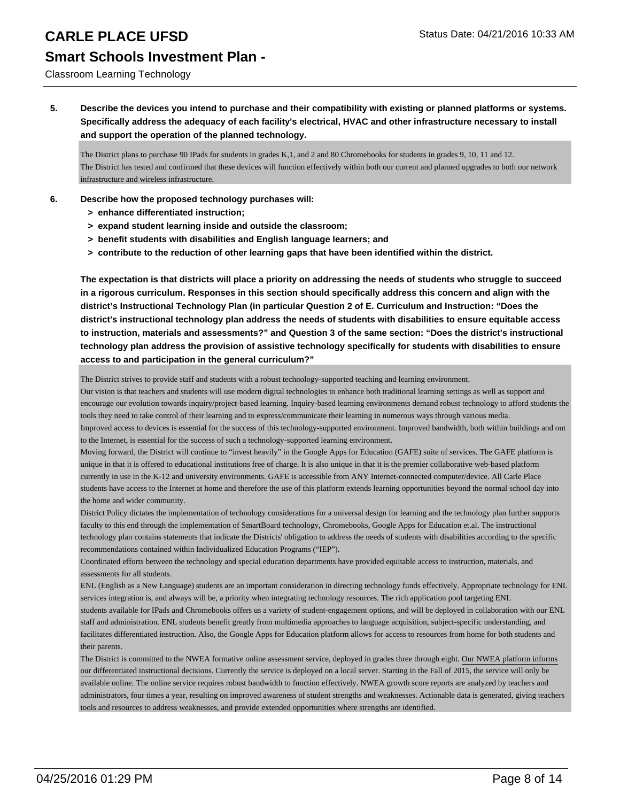#### Classroom Learning Technology

**5. Describe the devices you intend to purchase and their compatibility with existing or planned platforms or systems. Specifically address the adequacy of each facility's electrical, HVAC and other infrastructure necessary to install and support the operation of the planned technology.**

The District plans to purchase 90 IPads for students in grades K,1, and 2 and 80 Chromebooks for students in grades 9, 10, 11 and 12. The District has tested and confirmed that these devices will function effectively within both our current and planned upgrades to both our network infrastructure and wireless infrastructure.

- **6. Describe how the proposed technology purchases will:**
	- **> enhance differentiated instruction;**
	- **> expand student learning inside and outside the classroom;**
	- **> benefit students with disabilities and English language learners; and**
	- **> contribute to the reduction of other learning gaps that have been identified within the district.**

**The expectation is that districts will place a priority on addressing the needs of students who struggle to succeed in a rigorous curriculum. Responses in this section should specifically address this concern and align with the district's Instructional Technology Plan (in particular Question 2 of E. Curriculum and Instruction: "Does the district's instructional technology plan address the needs of students with disabilities to ensure equitable access to instruction, materials and assessments?" and Question 3 of the same section: "Does the district's instructional technology plan address the provision of assistive technology specifically for students with disabilities to ensure access to and participation in the general curriculum?"**

The District strives to provide staff and students with a robust technology-supported teaching and learning environment.

Our vision is that teachers and students will use modern digital technologies to enhance both traditional learning settings as well as support and encourage our evolution towards inquiry/project-based learning. Inquiry-based learning environments demand robust technology to afford students the tools they need to take control of their learning and to express/communicate their learning in numerous ways through various media.

Improved access to devices is essential for the success of this technology-supported environment. Improved bandwidth, both within buildings and out to the Internet, is essential for the success of such a technology-supported learning environment.

Moving forward, the District will continue to "invest heavily" in the Google Apps for Education (GAFE) suite of services. The GAFE platform is unique in that it is offered to educational institutions free of charge. It is also unique in that it is the premier collaborative web-based platform currently in use in the K-12 and university environments. GAFE is accessible from ANY Internet-connected computer/device. All Carle Place students have access to the Internet at home and therefore the use of this platform extends learning opportunities beyond the normal school day into the home and wider community.

District Policy dictates the implementation of technology considerations for a universal design for learning and the technology plan further supports faculty to this end through the implementation of SmartBoard technology, Chromebooks, Google Apps for Education et.al. The instructional technology plan contains statements that indicate the Districts' obligation to address the needs of students with disabilities according to the specific recommendations contained within Individualized Education Programs ("IEP").

Coordinated efforts between the technology and special education departments have provided equitable access to instruction, materials, and assessments for all students.

ENL (English as a New Language) students are an important consideration in directing technology funds effectively. Appropriate technology for ENL services integration is, and always will be, a priority when integrating technology resources. The rich application pool targeting ENL students available for IPads and Chromebooks offers us a variety of student-engagement options, and will be deployed in collaboration with our ENL staff and administration. ENL students benefit greatly from multimedia approaches to language acquisition, subject-specific understanding, and facilitates differentiated instruction. Also, the Google Apps for Education platform allows for access to resources from home for both students and their parents.

The District is committed to the NWEA formative online assessment service, deployed in grades three through eight. Our NWEA platform informs our differentiated instructional decisions. Currently the service is deployed on a local server. Starting in the Fall of 2015, the service will only be available online. The online service requires robust bandwidth to function effectively. NWEA growth score reports are analyzed by teachers and administrators, four times a year, resulting on improved awareness of student strengths and weaknesses. Actionable data is generated, giving teachers tools and resources to address weaknesses, and provide extended opportunities where strengths are identified.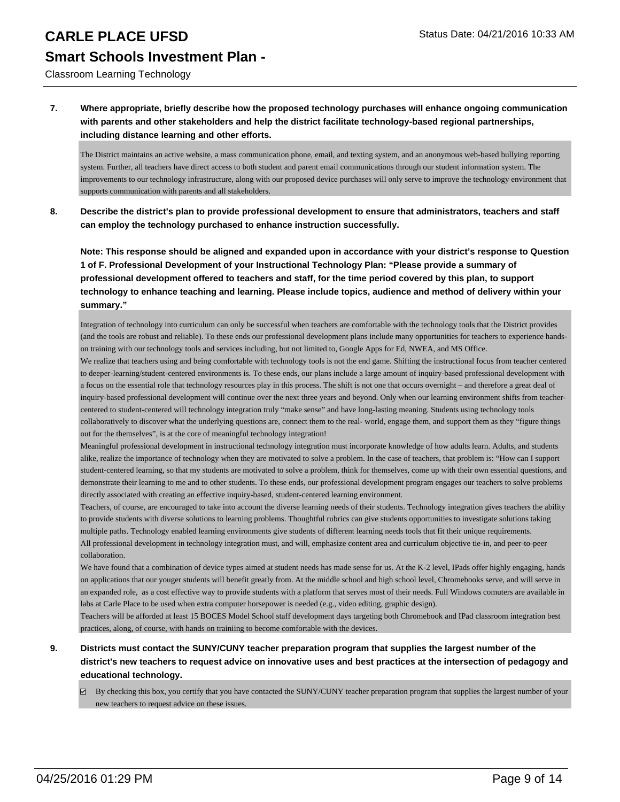Classroom Learning Technology

#### **7. Where appropriate, briefly describe how the proposed technology purchases will enhance ongoing communication with parents and other stakeholders and help the district facilitate technology-based regional partnerships, including distance learning and other efforts.**

The District maintains an active website, a mass communication phone, email, and texting system, and an anonymous web-based bullying reporting system. Further, all teachers have direct access to both student and parent email communications through our student information system. The improvements to our technology infrastructure, along with our proposed device purchases will only serve to improve the technology environment that supports communication with parents and all stakeholders.

**8. Describe the district's plan to provide professional development to ensure that administrators, teachers and staff can employ the technology purchased to enhance instruction successfully.**

**Note: This response should be aligned and expanded upon in accordance with your district's response to Question 1 of F. Professional Development of your Instructional Technology Plan: "Please provide a summary of professional development offered to teachers and staff, for the time period covered by this plan, to support technology to enhance teaching and learning. Please include topics, audience and method of delivery within your summary."**

Integration of technology into curriculum can only be successful when teachers are comfortable with the technology tools that the District provides (and the tools are robust and reliable). To these ends our professional development plans include many opportunities for teachers to experience handson training with our technology tools and services including, but not limited to, Google Apps for Ed, NWEA, and MS Office.

We realize that teachers using and being comfortable with technology tools is not the end game. Shifting the instructional focus from teacher centered to deeper-learning/student-centered environments is. To these ends, our plans include a large amount of inquiry-based professional development with a focus on the essential role that technology resources play in this process. The shift is not one that occurs overnight – and therefore a great deal of inquiry-based professional development will continue over the next three years and beyond. Only when our learning environment shifts from teachercentered to student-centered will technology integration truly "make sense" and have long-lasting meaning. Students using technology tools collaboratively to discover what the underlying questions are, connect them to the real- world, engage them, and support them as they "figure things out for the themselves", is at the core of meaningful technology integration!

Meaningful professional development in instructional technology integration must incorporate knowledge of how adults learn. Adults, and students alike, realize the importance of technology when they are motivated to solve a problem. In the case of teachers, that problem is: "How can I support student-centered learning, so that my students are motivated to solve a problem, think for themselves, come up with their own essential questions, and demonstrate their learning to me and to other students. To these ends, our professional development program engages our teachers to solve problems directly associated with creating an effective inquiry-based, student-centered learning environment.

Teachers, of course, are encouraged to take into account the diverse learning needs of their students. Technology integration gives teachers the ability to provide students with diverse solutions to learning problems. Thoughtful rubrics can give students opportunities to investigate solutions taking multiple paths. Technology enabled learning environments give students of different learning needs tools that fit their unique requirements. All professional development in technology integration must, and will, emphasize content area and curriculum objective tie-in, and peer-to-peer collaboration.

We have found that a combination of device types aimed at student needs has made sense for us. At the K-2 level, IPads offer highly engaging, hands on applications that our youger students will benefit greatly from. At the middle school and high school level, Chromebooks serve, and will serve in an expanded role, as a cost effective way to provide students with a platform that serves most of their needs. Full Windows comuters are available in labs at Carle Place to be used when extra computer horsepower is needed (e.g., video editing, graphic design).

Teachers will be afforded at least 15 BOCES Model School staff development days targeting both Chromebook and IPad classroom integration best practices, along, of course, with hands on trainiing to become comfortable with the devices.

#### **9. Districts must contact the SUNY/CUNY teacher preparation program that supplies the largest number of the district's new teachers to request advice on innovative uses and best practices at the intersection of pedagogy and educational technology.**

 $\boxtimes$  By checking this box, you certify that you have contacted the SUNY/CUNY teacher preparation program that supplies the largest number of your new teachers to request advice on these issues.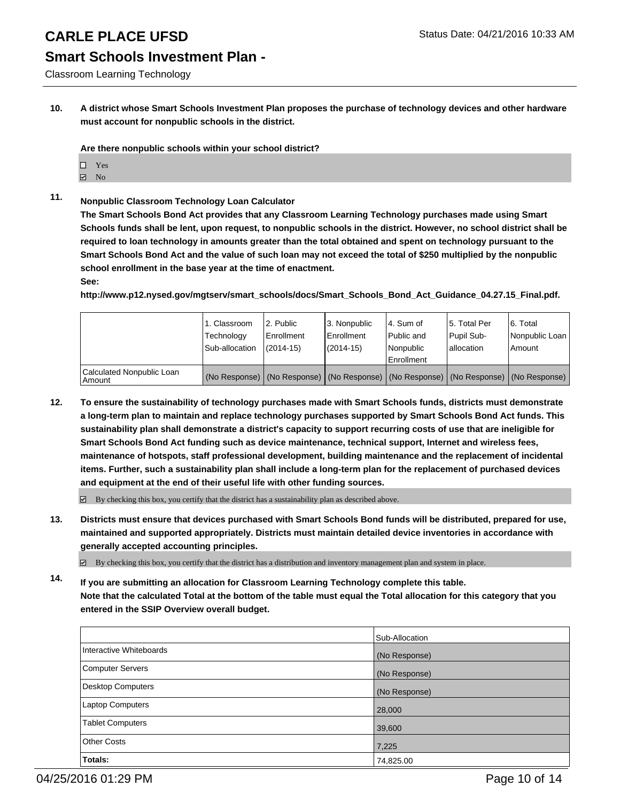# **Smart Schools Investment Plan -**

Classroom Learning Technology

**10. A district whose Smart Schools Investment Plan proposes the purchase of technology devices and other hardware must account for nonpublic schools in the district.**

**Are there nonpublic schools within your school district?**

- $\Box$  Yes
- $\blacksquare$  No
- **11. Nonpublic Classroom Technology Loan Calculator**

**The Smart Schools Bond Act provides that any Classroom Learning Technology purchases made using Smart Schools funds shall be lent, upon request, to nonpublic schools in the district. However, no school district shall be required to loan technology in amounts greater than the total obtained and spent on technology pursuant to the Smart Schools Bond Act and the value of such loan may not exceed the total of \$250 multiplied by the nonpublic school enrollment in the base year at the time of enactment.**

#### **See:**

**http://www.p12.nysed.gov/mgtserv/smart\_schools/docs/Smart\_Schools\_Bond\_Act\_Guidance\_04.27.15\_Final.pdf.**

|                                         | 1. Classroom<br>Technology<br>Sub-allocation | 2. Public<br>Enrollment<br>$(2014 - 15)$ | 3. Nonpublic<br>Enrollment<br>$(2014 - 15)$ | l 4. Sum of<br>Public and<br>l Nonpublic<br>l Enrollment                                      | 15. Total Per<br>Pupil Sub-<br>I allocation | 6. Total<br>Nonpublic Loan<br>Amount |
|-----------------------------------------|----------------------------------------------|------------------------------------------|---------------------------------------------|-----------------------------------------------------------------------------------------------|---------------------------------------------|--------------------------------------|
| Calculated Nonpublic Loan<br>l Amount i |                                              |                                          |                                             | (No Response)   (No Response)   (No Response)   (No Response)   (No Response)   (No Response) |                                             |                                      |

**12. To ensure the sustainability of technology purchases made with Smart Schools funds, districts must demonstrate a long-term plan to maintain and replace technology purchases supported by Smart Schools Bond Act funds. This sustainability plan shall demonstrate a district's capacity to support recurring costs of use that are ineligible for Smart Schools Bond Act funding such as device maintenance, technical support, Internet and wireless fees, maintenance of hotspots, staff professional development, building maintenance and the replacement of incidental items. Further, such a sustainability plan shall include a long-term plan for the replacement of purchased devices and equipment at the end of their useful life with other funding sources.**

 $\boxdot$  By checking this box, you certify that the district has a sustainability plan as described above.

**13. Districts must ensure that devices purchased with Smart Schools Bond funds will be distributed, prepared for use, maintained and supported appropriately. Districts must maintain detailed device inventories in accordance with generally accepted accounting principles.**

 $\boxtimes$  By checking this box, you certify that the district has a distribution and inventory management plan and system in place.

**14. If you are submitting an allocation for Classroom Learning Technology complete this table. Note that the calculated Total at the bottom of the table must equal the Total allocation for this category that you entered in the SSIP Overview overall budget.**

|                         | Sub-Allocation |
|-------------------------|----------------|
| Interactive Whiteboards | (No Response)  |
| Computer Servers        | (No Response)  |
| Desktop Computers       | (No Response)  |
| <b>Laptop Computers</b> | 28,000         |
| Tablet Computers        | 39,600         |
| Other Costs             | 7,225          |
| Totals:                 | 74,825.00      |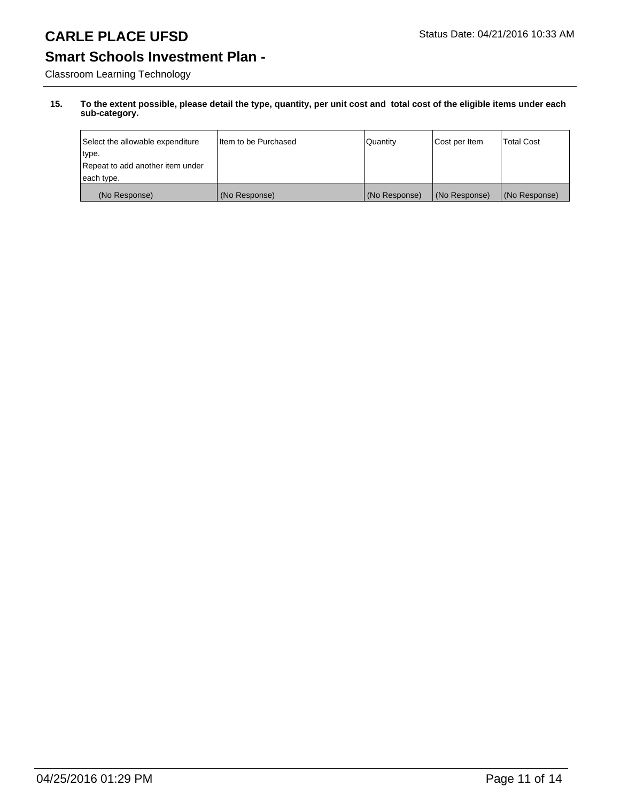# **Smart Schools Investment Plan -**

Classroom Learning Technology

| Select the allowable expenditure | I Item to be Purchased | <b>Quantity</b> | Cost per Item | <b>Total Cost</b> |
|----------------------------------|------------------------|-----------------|---------------|-------------------|
| type.                            |                        |                 |               |                   |
| Repeat to add another item under |                        |                 |               |                   |
| each type.                       |                        |                 |               |                   |
| (No Response)                    | (No Response)          | (No Response)   | (No Response) | (No Response)     |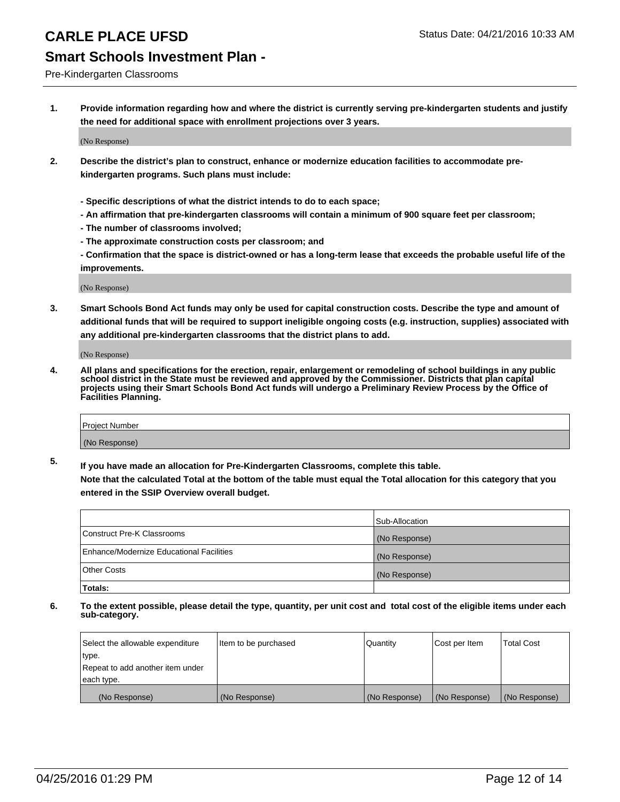#### Pre-Kindergarten Classrooms

**1. Provide information regarding how and where the district is currently serving pre-kindergarten students and justify the need for additional space with enrollment projections over 3 years.**

(No Response)

- **2. Describe the district's plan to construct, enhance or modernize education facilities to accommodate prekindergarten programs. Such plans must include:**
	- **Specific descriptions of what the district intends to do to each space;**
	- **An affirmation that pre-kindergarten classrooms will contain a minimum of 900 square feet per classroom;**
	- **The number of classrooms involved;**
	- **The approximate construction costs per classroom; and**
	- **Confirmation that the space is district-owned or has a long-term lease that exceeds the probable useful life of the improvements.**

(No Response)

**3. Smart Schools Bond Act funds may only be used for capital construction costs. Describe the type and amount of additional funds that will be required to support ineligible ongoing costs (e.g. instruction, supplies) associated with any additional pre-kindergarten classrooms that the district plans to add.**

(No Response)

**4. All plans and specifications for the erection, repair, enlargement or remodeling of school buildings in any public school district in the State must be reviewed and approved by the Commissioner. Districts that plan capital projects using their Smart Schools Bond Act funds will undergo a Preliminary Review Process by the Office of Facilities Planning.**

| Project Number |  |
|----------------|--|
| (No Response)  |  |

**5. If you have made an allocation for Pre-Kindergarten Classrooms, complete this table. Note that the calculated Total at the bottom of the table must equal the Total allocation for this category that you**

**entered in the SSIP Overview overall budget.**

|                                          | Sub-Allocation |
|------------------------------------------|----------------|
| Construct Pre-K Classrooms               | (No Response)  |
| Enhance/Modernize Educational Facilities | (No Response)  |
| Other Costs                              | (No Response)  |
| Totals:                                  |                |

| Select the allowable expenditure | Item to be purchased | l Quantitv    | Cost per Item | <b>Total Cost</b> |
|----------------------------------|----------------------|---------------|---------------|-------------------|
| type.                            |                      |               |               |                   |
| Repeat to add another item under |                      |               |               |                   |
| each type.                       |                      |               |               |                   |
| (No Response)                    | (No Response)        | (No Response) | (No Response) | (No Response)     |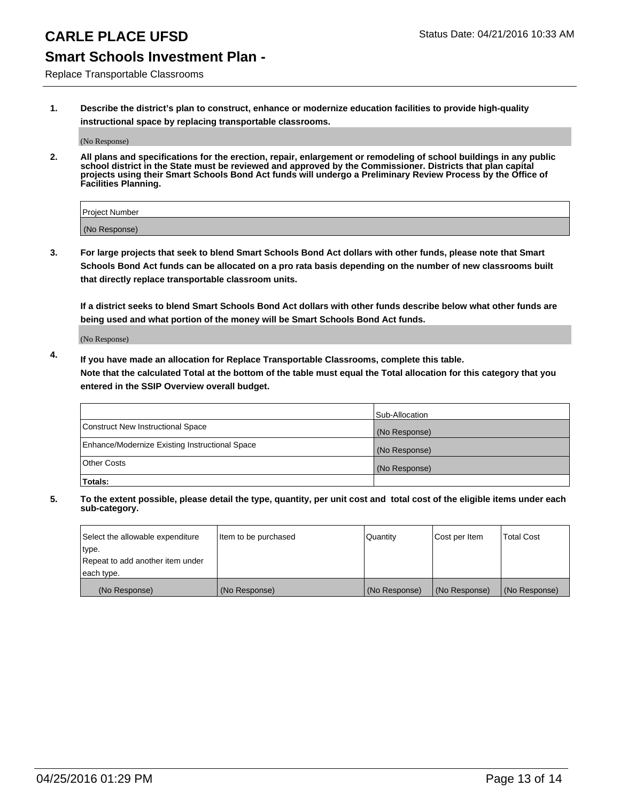### **Smart Schools Investment Plan -**

Replace Transportable Classrooms

**1. Describe the district's plan to construct, enhance or modernize education facilities to provide high-quality instructional space by replacing transportable classrooms.**

(No Response)

**2. All plans and specifications for the erection, repair, enlargement or remodeling of school buildings in any public school district in the State must be reviewed and approved by the Commissioner. Districts that plan capital projects using their Smart Schools Bond Act funds will undergo a Preliminary Review Process by the Office of Facilities Planning.**

| Project Number |  |
|----------------|--|
| (No Response)  |  |

**3. For large projects that seek to blend Smart Schools Bond Act dollars with other funds, please note that Smart Schools Bond Act funds can be allocated on a pro rata basis depending on the number of new classrooms built that directly replace transportable classroom units.**

**If a district seeks to blend Smart Schools Bond Act dollars with other funds describe below what other funds are being used and what portion of the money will be Smart Schools Bond Act funds.**

(No Response)

**4. If you have made an allocation for Replace Transportable Classrooms, complete this table. Note that the calculated Total at the bottom of the table must equal the Total allocation for this category that you entered in the SSIP Overview overall budget.**

|                                                | Sub-Allocation |
|------------------------------------------------|----------------|
| Construct New Instructional Space              | (No Response)  |
| Enhance/Modernize Existing Instructional Space | (No Response)  |
| Other Costs                                    | (No Response)  |
| Totals:                                        |                |

| Select the allowable expenditure | Item to be purchased | <b>Quantity</b> | Cost per Item | <b>Total Cost</b> |
|----------------------------------|----------------------|-----------------|---------------|-------------------|
| type.                            |                      |                 |               |                   |
| Repeat to add another item under |                      |                 |               |                   |
| each type.                       |                      |                 |               |                   |
| (No Response)                    | (No Response)        | (No Response)   | (No Response) | (No Response)     |